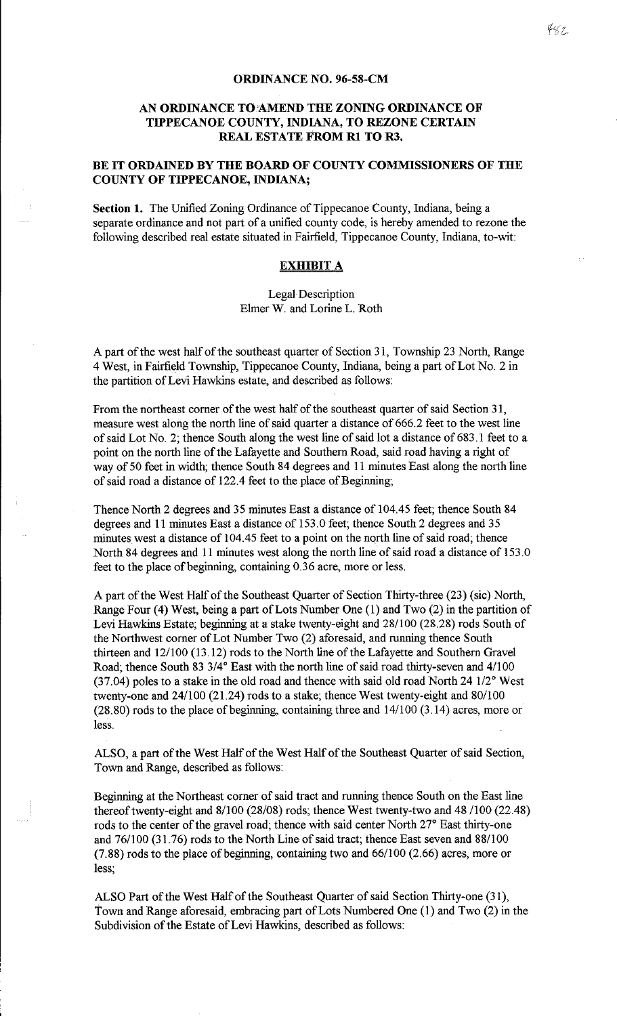## **ORDINANCE NO. 96-58-CM**

## **AN ORDINANCE TO AMEND THE ZONING ORDINANCE OF TIPPECANOE COUNTY, INDIANA, TO REZONE CERTAIN REAL ESTATE FROM Rl TO R3.**

## **BE IT ORDAINED BY THE BOARD OF COUNTY COMMISSIONERS OF THE COUNTY OF TIPPECANOE, INDIANA;**

**Section 1.** The Unified Zoning Ordinance of Tippecanoe County, Indiana, being a separate ordinance and not part of a unified county code, is hereby amended to rezone the following described real estate situated in Fairfield, Tippecanoe County, Indiana, to-wit:

## **EXHIBIT A**

Legal Description Ehner W. and Lorine L. Roth

A part of the west half of the southeast quarter of Section 31, Township 23 North, Range 4 West, in Fairfield Township, Tippecanoe County, Indiana, being a part of Lot No. 2 in the partition of Levi Hawkins estate, and described as follows:

From the northeast comer of the west half of the southeast quarter of said Section 31, measure west along the north line of said quarter a distance of 666.2 feet to the west line of said Lot No. 2; thence South along the west line of said lot a distance of 683 .1 feet to a point on the north line of the Lafayette and Southern Road, said road having a right of way of 50 feet in width; thence South 84 degrees and 11 minutes East along the north line of said road a distance of 122.4 feet to the place of Beginning;

Thence North 2 degrees and 35 minutes East a distance of 104.45 feet; thence South 84 degrees and 11 minutes East a distance of 153.0 feet; thence South 2 degrees and 35 minutes west a distance of 104.45 feet to a point on the north line of said road; thence North 84 degrees and 11 minutes west along the north line of said road a distance of 153. 0 feet to the place of beginning, containing 0.36 acre, more or less.

A part of the West Half of the Southeast Quarter of Section Thirty-three (23) (sic) North, Range Four (4) West, being a part of Lots Number One  $(1)$  and Two  $(2)$  in the partition of Levi Hawkins Estate; beginning at a stake twenty-eight and 28/100 (28.28) rods South of the Northwest comer of Lot Number Two (2) aforesaid, and running thence South thirteen and 12/100 (13.12) rods to the North line of the Lafayette and Southern Gravel Road; thence South 83 3/4° East with the north line of said road thirty-seven and 4/100 (37.04) poles to a stake in the old road and thence with said old road North 24 1/2° West twenty-one and 24/100 (21.24) rods to a stake; thence West twenty-eight and 80/100 (28.80) rods to the place of beginning, containing three and 14/100 (3.14) acres, more or less.

ALSO, a part of the West Half of the West Half of the Southeast Quarter of said Section, Town and Range, described as follows:

Beginning at the Northeast corner of said tract and running thence South on the East line thereof twenty-eight and 8/100 (28/08) rods; thence West twenty-two and 48 /100 (22.48) rods to the center of the gravel road; thence with said center North 27° East thirty-one and 76/100 (31.76) rods to the North Line of said tract; thence East seven and 88/100 (7.88) rods to the place of beginning, containing two and 66/100 (2.66) acres, more or less;

ALSO Part of the West Half of the Southeast Quarter of said Section Thirty-one (31 ), Town and Range aforesaid, embracing part of Lots Numbered One (1) and Two (2) in the Subdivision of the Estate of Levi Hawkins, described as follows: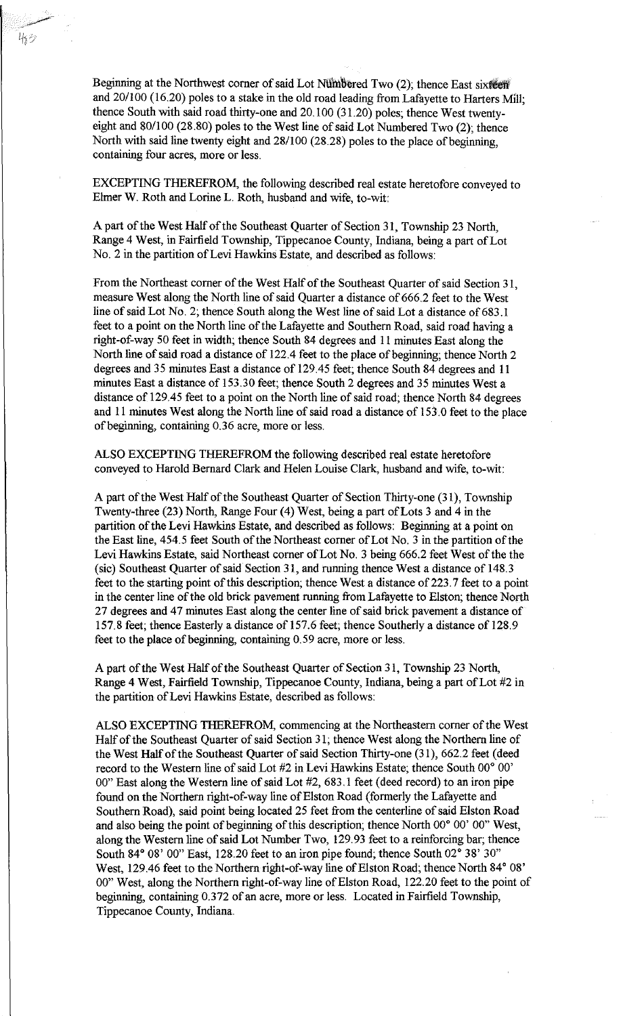Beginning at the Northwest corner of said Lot Numbered Two (2); thence East sixteen and 20/100 (16.20) poles to a stake in the old road leading from Lafayette to Harters Mill; thence South with said road thirty-one and 20.100 (31.20) poles; thence West twentyeight and 80/100 (28.80) poles to the West line of said Lot Numbered Two (2); thence North with said line twenty eight and 28/100 (28.28) poles to the place of beginning, containing four acres, more or less.

EXCEPTING THEREFROM, the following described real estate heretofore conveyed to Elmer W. Roth and Lorine L. Roth, husband and wife, to-wit:

A part of the West Half of the Southeast Quarter of Section 31, Township 23 North, Range 4 West, in Fairfield Township, Tippecanoe County, Indiana, being a part of Lot No. 2 in the partition of Levi Hawkins Estate, and described as follows:

From the Northeast corner of the West Half of the Southeast Quarter of said Section 31, measure West along the North line of said Quarter a distance of 666.2 feet to the West line of said Lot No. 2; thence South along the West line of said Lot a distance of 683.1 feet to a point on the North line of the Lafayette and Southern Road, said road having a right-of-way 50 feet in width; thence South 84 degrees and 11 minutes East along the North line of said road a distance of 122.4 feet to the place of beginning; thence North 2 degrees and 35 minutes East a distance of 129.45 feet; thence South 84 degrees and 11 minutes East a distance of 153.30 feet; thence South 2 degrees and 35 minutes West a distance of 129.45 feet to a point on the North line of said road; thence North 84 degrees and 11 minutes West along the North line of said road a distance of 153.0 feet to the place of beginning, containing 0.36 acre, more or less.

ALSO EXCEPTING THEREFROM the following described real estate heretofore conveyed to Harold Bernard Clark and Helen Louise Clark, husband and wife, to-wit:

A part of the West Half of the Southeast Quarter of Section Thirty-one (31), Township Twenty-three (23) North, Range Four (4) West, being a part ofLots 3 and 4 in the partition of the Levi Hawkins Estate, and described as follows: Beginning at a point on the East line, 454.5 feet South of the Northeast corner of Lot No. 3 in the partition of the Levi Hawkins Estate, said Northeast corner of Lot No. 3 being 666.2 feet West of the the (sic) Southeast Quarter of said Section 31, and running thence West a distance of 148.3 feet to the starting point of this description; thence West a distance of 223.7 feet to a point in the center line of the old brick pavement running from Lafayette to Elston; thence North 27 degrees and 47 minutes East along the center line of said brick pavement a distance of 157.8 feet; thence Easterly a distance of 157.6 feet; thence Southerly a distance of 128.9 feet to the place of beginning, containing 0.59 acre, more or less.

A part of the West Half of the Southeast Quarter of Section 31, Township 23 North, Range 4 West, Fairfield Township, Tippecanoe County, Indiana, being a part of Lot #2 in the partition of Levi Hawkins Estate, described as follows:

ALSO EXCEPTING THEREFROM, commencing at the Northeastern corner of the West Half of the Southeast Quarter of said Section 31; thence West along the Northern line of the West Half of the Southeast Quarter of said Section Thirty-one (31), 662.2 feet (deed record to the Western line of said Lot #2 in Levi Hawkins Estate; thence South 00° 00' 00" East along the Western line of said Lot #2, 683 .1 feet (deed record) to an iron pipe found on the Northern right-of-way line of Elston Road (formerly the Lafayette and Southern Road), said point being located 25 feet from the centerline of said Elston Road and also being the point of beginning of this description; thence North 00° 00' 00" West, along the Western line of said Lot Number Two, 129.93 feet to a reinforcing bar; thence South 84° 08' 00" East, 128.20 feet to an iron pipe found; thence South 02° 38' 30" West, 129.46 feet to the Northern right-of-way line of Elston Road; thence North 84° 08' 00" West, along the Northern right-of-way line of Elston Road, 122.20 feet to the point of beginning, containing 0.372 of an acre, more or less. Located in Fairfield Township, Tippecanoe County, Indiana.

~-